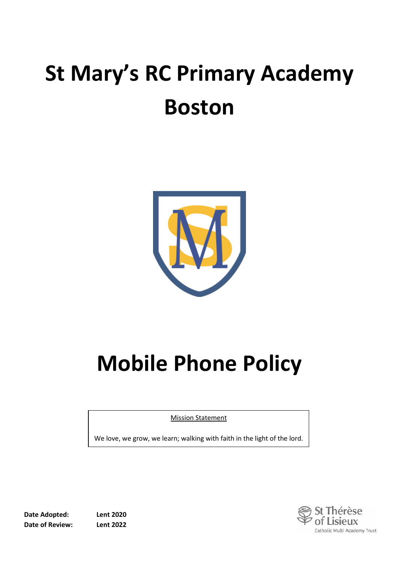# **St Mary's RC Primary Academy Boston**



# **Mobile Phone Policy**

Mission Statement

We love, we grow, we learn; walking with faith in the light of the lord.



èse of Lisieux Catholic Multi Academy Trust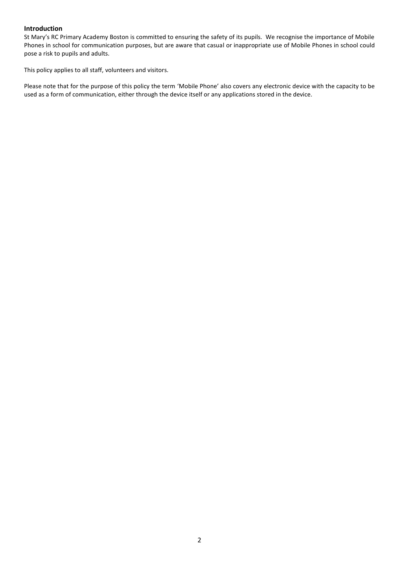#### **Introduction**

St Mary's RC Primary Academy Boston is committed to ensuring the safety of its pupils. We recognise the importance of Mobile Phones in school for communication purposes, but are aware that casual or inappropriate use of Mobile Phones in school could pose a risk to pupils and adults.

This policy applies to all staff, volunteers and visitors.

Please note that for the purpose of this policy the term 'Mobile Phone' also covers any electronic device with the capacity to be used as a form of communication, either through the device itself or any applications stored in the device.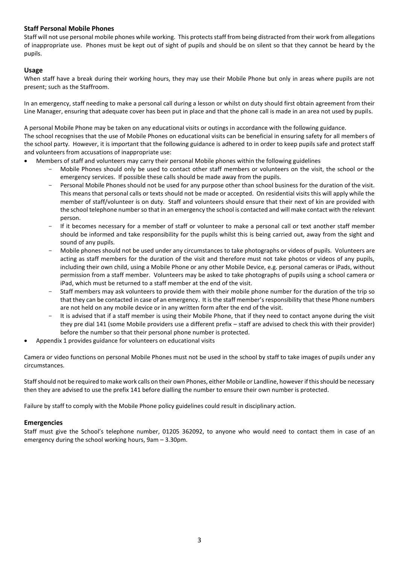## **Staff Personal Mobile Phones**

Staff will not use personal mobile phones while working. This protects staff from being distracted from their work from allegations of inappropriate use. Phones must be kept out of sight of pupils and should be on silent so that they cannot be heard by the pupils.

### **Usage**

When staff have a break during their working hours, they may use their Mobile Phone but only in areas where pupils are not present; such as the Staffroom.

In an emergency, staff needing to make a personal call during a lesson or whilst on duty should first obtain agreement from their Line Manager, ensuring that adequate cover has been put in place and that the phone call is made in an area not used by pupils.

A personal Mobile Phone may be taken on any educational visits or outings in accordance with the following guidance. The school recognises that the use of Mobile Phones on educational visits can be beneficial in ensuring safety for all members of the school party. However, it is important that the following guidance is adhered to in order to keep pupils safe and protect staff and volunteers from accusations of inappropriate use:

- Members of staff and volunteers may carry their personal Mobile phones within the following guidelines
	- Mobile Phones should only be used to contact other staff members or volunteers on the visit, the school or the emergency services. If possible these calls should be made away from the pupils.
	- Personal Mobile Phones should not be used for any purpose other than school business for the duration of the visit. This means that personal calls or texts should not be made or accepted. On residential visits this will apply while the member of staff/volunteer is on duty. Staff and volunteers should ensure that their next of kin are provided with the school telephone number so that in an emergency the school is contacted and will make contact with the relevant person.
	- If it becomes necessary for a member of staff or volunteer to make a personal call or text another staff member should be informed and take responsibility for the pupils whilst this is being carried out, away from the sight and sound of any pupils.
	- Mobile phones should not be used under any circumstances to take photographs or videos of pupils. Volunteers are acting as staff members for the duration of the visit and therefore must not take photos or videos of any pupils, including their own child, using a Mobile Phone or any other Mobile Device, e.g. personal cameras or iPads, without permission from a staff member. Volunteers may be asked to take photographs of pupils using a school camera or iPad, which must be returned to a staff member at the end of the visit.
	- Staff members may ask volunteers to provide them with their mobile phone number for the duration of the trip so that they can be contacted in case of an emergency. It is the staff member's responsibility that these Phone numbers are not held on any mobile device or in any written form after the end of the visit.
	- It is advised that if a staff member is using their Mobile Phone, that if they need to contact anyone during the visit they pre dial 141 (some Mobile providers use a different prefix – staff are advised to check this with their provider) before the number so that their personal phone number is protected.
- Appendix 1 provides guidance for volunteers on educational visits

Camera or video functions on personal Mobile Phones must not be used in the school by staff to take images of pupils under any circumstances.

Staff should not be required to make work calls on their own Phones, either Mobile or Landline, however if this should be necessary then they are advised to use the prefix 141 before dialling the number to ensure their own number is protected.

Failure by staff to comply with the Mobile Phone policy guidelines could result in disciplinary action.

#### **Emergencies**

Staff must give the School's telephone number, 01205 362092, to anyone who would need to contact them in case of an emergency during the school working hours, 9am – 3.30pm.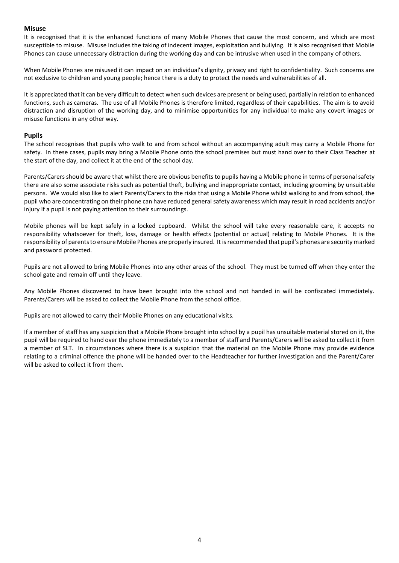#### **Misuse**

It is recognised that it is the enhanced functions of many Mobile Phones that cause the most concern, and which are most susceptible to misuse. Misuse includes the taking of indecent images, exploitation and bullying. It is also recognised that Mobile Phones can cause unnecessary distraction during the working day and can be intrusive when used in the company of others.

When Mobile Phones are misused it can impact on an individual's dignity, privacy and right to confidentiality. Such concerns are not exclusive to children and young people; hence there is a duty to protect the needs and vulnerabilities of all.

It is appreciated that it can be very difficult to detect when such devices are present or being used, partially in relation to enhanced functions, such as cameras. The use of all Mobile Phones is therefore limited, regardless of their capabilities. The aim is to avoid distraction and disruption of the working day, and to minimise opportunities for any individual to make any covert images or misuse functions in any other way.

#### **Pupils**

The school recognises that pupils who walk to and from school without an accompanying adult may carry a Mobile Phone for safety. In these cases, pupils may bring a Mobile Phone onto the school premises but must hand over to their Class Teacher at the start of the day, and collect it at the end of the school day.

Parents/Carers should be aware that whilst there are obvious benefits to pupils having a Mobile phone in terms of personal safety there are also some associate risks such as potential theft, bullying and inappropriate contact, including grooming by unsuitable persons. We would also like to alert Parents/Carers to the risks that using a Mobile Phone whilst walking to and from school, the pupil who are concentrating on their phone can have reduced general safety awareness which may result in road accidents and/or injury if a pupil is not paying attention to their surroundings.

Mobile phones will be kept safely in a locked cupboard. Whilst the school will take every reasonable care, it accepts no responsibility whatsoever for theft, loss, damage or health effects (potential or actual) relating to Mobile Phones. It is the responsibility of parents to ensure Mobile Phones are properly insured. It is recommended that pupil's phones are security marked and password protected.

Pupils are not allowed to bring Mobile Phones into any other areas of the school. They must be turned off when they enter the school gate and remain off until they leave.

Any Mobile Phones discovered to have been brought into the school and not handed in will be confiscated immediately. Parents/Carers will be asked to collect the Mobile Phone from the school office.

Pupils are not allowed to carry their Mobile Phones on any educational visits.

If a member of staff has any suspicion that a Mobile Phone brought into school by a pupil has unsuitable material stored on it, the pupil will be required to hand over the phone immediately to a member of staff and Parents/Carers will be asked to collect it from a member of SLT. In circumstances where there is a suspicion that the material on the Mobile Phone may provide evidence relating to a criminal offence the phone will be handed over to the Headteacher for further investigation and the Parent/Carer will be asked to collect it from them.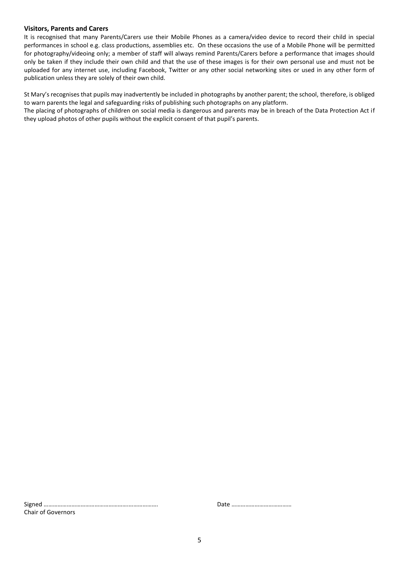#### **Visitors, Parents and Carers**

It is recognised that many Parents/Carers use their Mobile Phones as a camera/video device to record their child in special performances in school e.g. class productions, assemblies etc. On these occasions the use of a Mobile Phone will be permitted for photography/videoing only; a member of staff will always remind Parents/Carers before a performance that images should only be taken if they include their own child and that the use of these images is for their own personal use and must not be uploaded for any internet use, including Facebook, Twitter or any other social networking sites or used in any other form of publication unless they are solely of their own child.

St Mary's recognises that pupils may inadvertently be included in photographs by another parent; the school, therefore, is obliged to warn parents the legal and safeguarding risks of publishing such photographs on any platform.

The placing of photographs of children on social media is dangerous and parents may be in breach of the Data Protection Act if they upload photos of other pupils without the explicit consent of that pupil's parents.

Signed ……………………………………………….………………. Date ………………………………… Chair of Governors